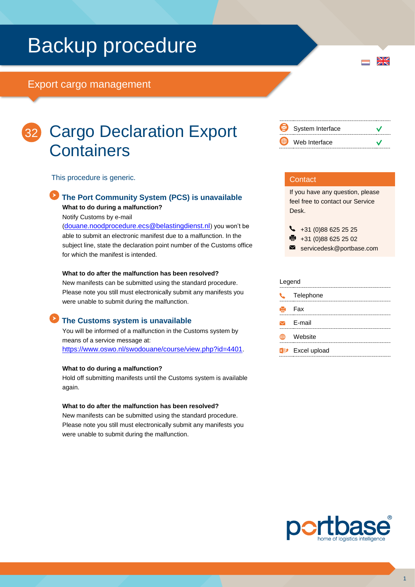# Backup procedure

## Export cargo management



## Cargo Declaration Export **Containers**

This procedure is generic.

## **The Port Community System (PCS) is unavailable What to do during a malfunction?**

Notify Customs by e-mail

([douane.noodprocedure.ecs@belastingdienst.nl](mailto:douane.noodprocedure.ecs@belastingdienst.nl)) you won't be able to submit an electronic manifest due to a malfunction. In the subject line, state the declaration point number of the Customs office for which the manifest is intended.

### **What to do after the malfunction has been resolved?**

New manifests can be submitted using the standard procedure. Please note you still must electronically submit any manifests you were unable to submit during the malfunction.

## **The Customs system is unavailable**

You will be informed of a malfunction in the Customs system by means of a service message at: <https://www.oswo.nl/swodouane/course/view.php?id=4401>.

#### **What to do during a malfunction?**

Hold off submitting manifests until the Customs system is available again.

#### **What to do after the malfunction has been resolved?**

New manifests can be submitted using the standard procedure. Please note you still must electronically submit any manifests you were unable to submit during the malfunction.



 $\frac{N}{N}$ 

## **Contact**

If you have any question, please feel free to contact our Service Desk.

 $\begin{array}{r} \big\{\end{array}$  +31 (0)88 625 25 25

● +31 (0)88 625 25 02

servicedesk@portbase.com

#### Legend

| - - - - - - - |                         |
|---------------|-------------------------|
| $\mathbf{C}$  | Telephone               |
|               | Hell Fax                |
|               | $\triangleright$ E-mail |
|               | Website                 |
|               | <b>XD</b> Excel upload  |
|               |                         |

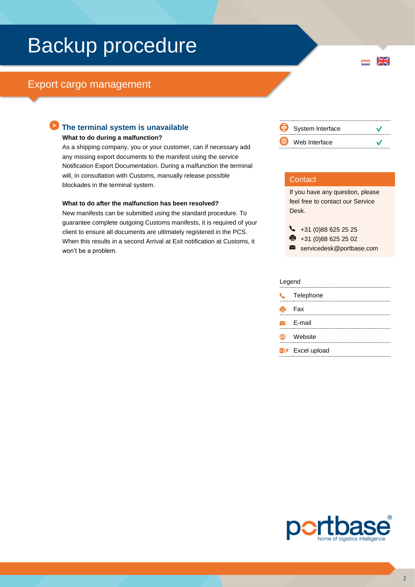# Backup procedure

## Export cargo management

## **The terminal system is unavailable**

#### **What to do during a malfunction?**

As a shipping company, you or your customer, can if necessary add any missing export documents to the manifest using the service Notification Export Documentation. During a malfunction the terminal will, in consultation with Customs, manually release possible blockades in the terminal system.

#### **What to do after the malfunction has been resolved?**

New manifests can be submitted using the standard procedure. To guarantee complete outgoing Customs manifests, it is required of your client to ensure all documents are ultimately registered in the PCS. When this results in a second Arrival at Exit notification at Customs, it won't be a problem.



 $\frac{N}{N}$ 

## **Contact**

If you have any question, please feel free to contact our Service Desk.

 $\bigcup_{+31}$  (0)88 625 25 25

● +31 (0)88 625 25 02

#### servicedesk@portbase.com

#### Legend

|   | <b>C</b> Telephone                  |
|---|-------------------------------------|
|   | $\mathbf{B}$ Fax                    |
|   | $\triangleright$ F-mail             |
| ⊞ | Website                             |
|   | <b>x</b> <sup>p+</sup> Excel upload |
|   |                                     |